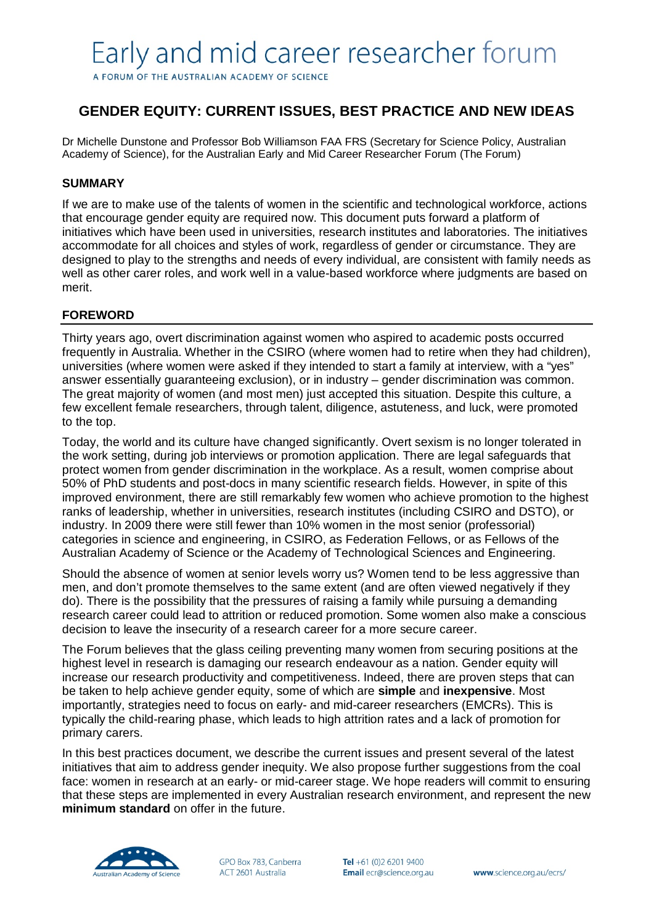A FORUM OF THE AUSTRALIAN ACADEMY OF SCIENCE

# **GENDER EQUITY: CURRENT ISSUES, BEST PRACTICE AND NEW IDEAS**

Dr Michelle Dunstone and Professor Bob Williamson FAA FRS (Secretary for Science Policy, Australian Academy of Science), for the Australian Early and Mid Career Researcher Forum (The Forum)

# **SUMMARY**

If we are to make use of the talents of women in the scientific and technological workforce, actions that encourage gender equity are required now. This document puts forward a platform of initiatives which have been used in universities, research institutes and laboratories. The initiatives accommodate for all choices and styles of work, regardless of gender or circumstance. They are designed to play to the strengths and needs of every individual, are consistent with family needs as well as other carer roles, and work well in a value-based workforce where judgments are based on merit.

# **FOREWORD**

Thirty years ago, overt discrimination against women who aspired to academic posts occurred frequently in Australia. Whether in the CSIRO (where women had to retire when they had children), universities (where women were asked if they intended to start a family at interview, with a "yes" answer essentially guaranteeing exclusion), or in industry – gender discrimination was common. The great majority of women (and most men) just accepted this situation. Despite this culture, a few excellent female researchers, through talent, diligence, astuteness, and luck, were promoted to the top.

Today, the world and its culture have changed significantly. Overt sexism is no longer tolerated in the work setting, during job interviews or promotion application. There are legal safeguards that protect women from gender discrimination in the workplace. As a result, women comprise about 50% of PhD students and post-docs in many scientific research fields. However, in spite of this improved environment, there are still remarkably few women who achieve promotion to the highest ranks of leadership, whether in universities, research institutes (including CSIRO and DSTO), or industry. In 2009 there were still fewer than 10% women in the most senior (professorial) categories in science and engineering, in CSIRO, as Federation Fellows, or as Fellows of the Australian Academy of Science or the Academy of Technological Sciences and Engineering.

Should the absence of women at senior levels worry us? Women tend to be less aggressive than men, and don't promote themselves to the same extent (and are often viewed negatively if they do). There is the possibility that the pressures of raising a family while pursuing a demanding research career could lead to attrition or reduced promotion. Some women also make a conscious decision to leave the insecurity of a research career for a more secure career.

The Forum believes that the glass ceiling preventing many women from securing positions at the highest level in research is damaging our research endeavour as a nation. Gender equity will increase our research productivity and competitiveness. Indeed, there are proven steps that can be taken to help achieve gender equity, some of which are **simple** and **inexpensive**. Most importantly, strategies need to focus on early- and mid-career researchers (EMCRs). This is typically the child-rearing phase, which leads to high attrition rates and a lack of promotion for primary carers.

In this best practices document, we describe the current issues and present several of the latest initiatives that aim to address gender inequity. We also propose further suggestions from the coal face: women in research at an early- or mid-career stage. We hope readers will commit to ensuring that these steps are implemented in every Australian research environment, and represent the new **minimum standard** on offer in the future.



GPO Box 783, Canberra ACT 2601 Australia

Tel +61 (0)2 6201 9400 Email ecr@science.org.au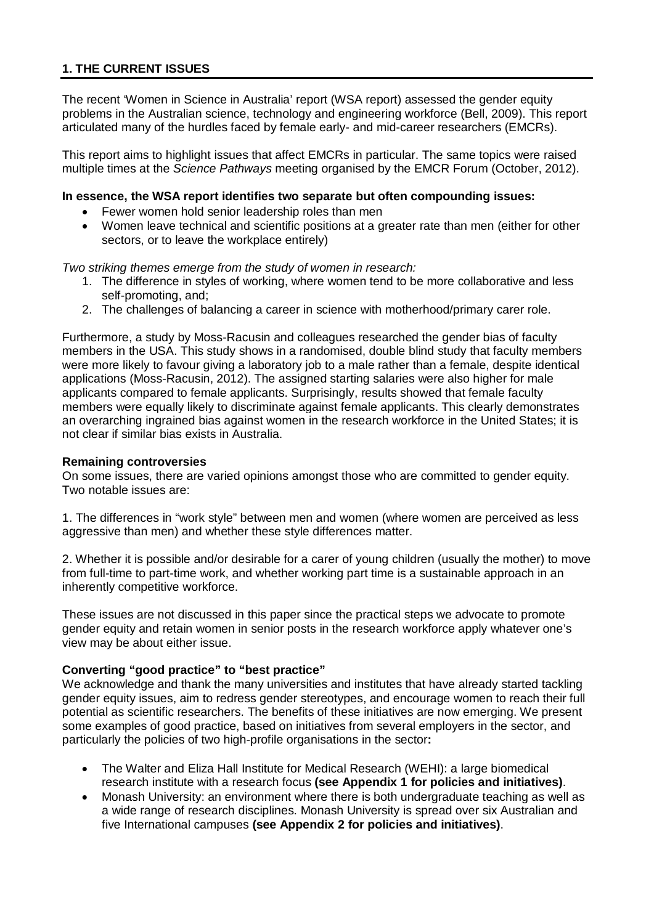# **1. THE CURRENT ISSUES**

The recent 'Women in Science in Australia' report (WSA report) assessed the gender equity problems in the Australian science, technology and engineering workforce (Bell, 2009). This report articulated many of the hurdles faced by female early- and mid-career researchers (EMCRs).

This report aims to highlight issues that affect EMCRs in particular. The same topics were raised multiple times at the *Science Pathways* meeting organised by the EMCR Forum (October, 2012).

#### **In essence, the WSA report identifies two separate but often compounding issues:**

- Fewer women hold senior leadership roles than men
- Women leave technical and scientific positions at a greater rate than men (either for other sectors, or to leave the workplace entirely)

*Two striking themes emerge from the study of women in research:*

- 1. The difference in styles of working, where women tend to be more collaborative and less self-promoting, and;
- 2. The challenges of balancing a career in science with motherhood/primary carer role.

Furthermore, a study by Moss-Racusin and colleagues researched the gender bias of faculty members in the USA. This study shows in a randomised, double blind study that faculty members were more likely to favour giving a laboratory job to a male rather than a female, despite identical applications (Moss-Racusin, 2012). The assigned starting salaries were also higher for male applicants compared to female applicants. Surprisingly, results showed that female faculty members were equally likely to discriminate against female applicants. This clearly demonstrates an overarching ingrained bias against women in the research workforce in the United States; it is not clear if similar bias exists in Australia.

#### **Remaining controversies**

On some issues, there are varied opinions amongst those who are committed to gender equity. Two notable issues are:

1. The differences in "work style" between men and women (where women are perceived as less aggressive than men) and whether these style differences matter.

2. Whether it is possible and/or desirable for a carer of young children (usually the mother) to move from full-time to part-time work, and whether working part time is a sustainable approach in an inherently competitive workforce.

These issues are not discussed in this paper since the practical steps we advocate to promote gender equity and retain women in senior posts in the research workforce apply whatever one's view may be about either issue.

### **Converting "good practice" to "best practice"**

We acknowledge and thank the many universities and institutes that have already started tackling gender equity issues, aim to redress gender stereotypes, and encourage women to reach their full potential as scientific researchers. The benefits of these initiatives are now emerging. We present some examples of good practice, based on initiatives from several employers in the sector, and particularly the policies of two high-profile organisations in the sector**:**

- The Walter and Eliza Hall Institute for Medical Research (WEHI): a large biomedical research institute with a research focus **(see Appendix 1 for policies and initiatives)**.
- Monash University: an environment where there is both undergraduate teaching as well as a wide range of research disciplines. Monash University is spread over six Australian and five International campuses **(see Appendix 2 for policies and initiatives)**.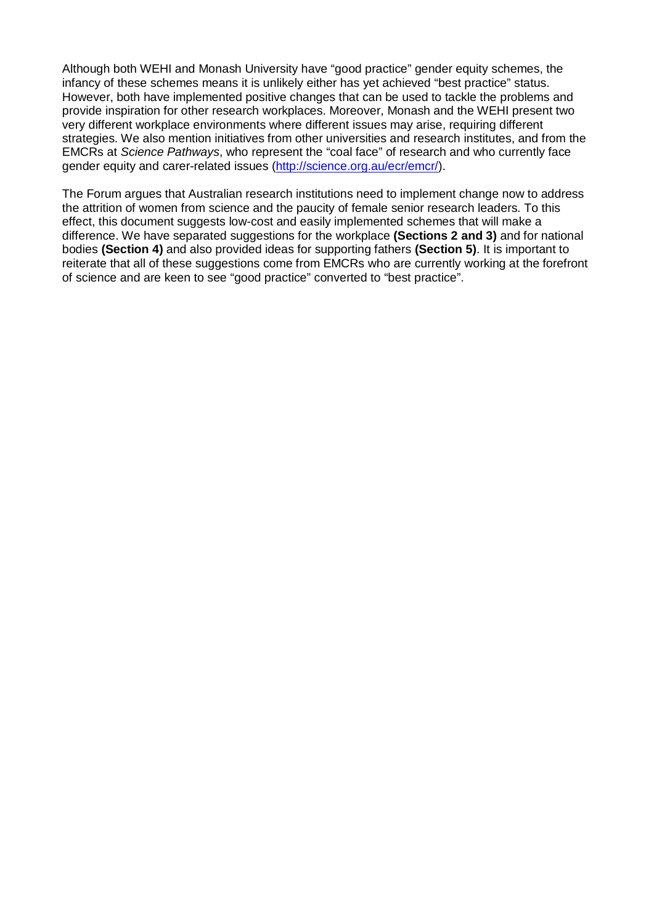Although both WEHI and Monash University have "good practice" gender equity schemes, the infancy of these schemes means it is unlikely either has yet achieved "best practice" status. However, both have implemented positive changes that can be used to tackle the problems and provide inspiration for other research workplaces. Moreover, Monash and the WEHI present two very different workplace environments where different issues may arise, requiring different strategies. We also mention initiatives from other universities and research institutes, and from the EMCRs at *Science Pathways*, who represent the "coal face" of research and who currently face gender equity and carer-related issues [\(http://science.org.au/ecr/emcr/\)](http://science.org.au/ecr/emcr/).

The Forum argues that Australian research institutions need to implement change now to address the attrition of women from science and the paucity of female senior research leaders. To this effect, this document suggests low-cost and easily implemented schemes that will make a difference. We have separated suggestions for the workplace **(Sections 2 and 3)** and for national bodies **(Section 4)** and also provided ideas for supporting fathers **(Section 5)**. It is important to reiterate that all of these suggestions come from EMCRs who are currently working at the forefront of science and are keen to see "good practice" converted to "best practice".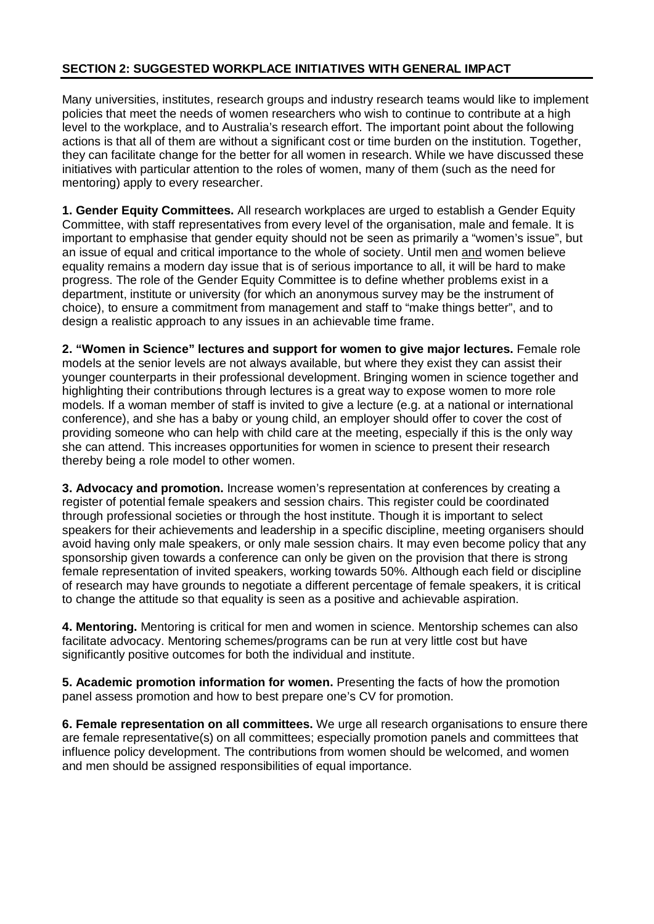# **SECTION 2: SUGGESTED WORKPLACE INITIATIVES WITH GENERAL IMPACT**

Many universities, institutes, research groups and industry research teams would like to implement policies that meet the needs of women researchers who wish to continue to contribute at a high level to the workplace, and to Australia's research effort. The important point about the following actions is that all of them are without a significant cost or time burden on the institution. Together, they can facilitate change for the better for all women in research. While we have discussed these initiatives with particular attention to the roles of women, many of them (such as the need for mentoring) apply to every researcher.

**1. Gender Equity Committees.** All research workplaces are urged to establish a Gender Equity Committee, with staff representatives from every level of the organisation, male and female. It is important to emphasise that gender equity should not be seen as primarily a "women's issue", but an issue of equal and critical importance to the whole of society. Until men and women believe equality remains a modern day issue that is of serious importance to all, it will be hard to make progress. The role of the Gender Equity Committee is to define whether problems exist in a department, institute or university (for which an anonymous survey may be the instrument of choice), to ensure a commitment from management and staff to "make things better", and to design a realistic approach to any issues in an achievable time frame.

**2. "Women in Science" lectures and support for women to give major lectures.** Female role models at the senior levels are not always available, but where they exist they can assist their younger counterparts in their professional development. Bringing women in science together and highlighting their contributions through lectures is a great way to expose women to more role models. If a woman member of staff is invited to give a lecture (e.g. at a national or international conference), and she has a baby or young child, an employer should offer to cover the cost of providing someone who can help with child care at the meeting, especially if this is the only way she can attend. This increases opportunities for women in science to present their research thereby being a role model to other women.

**3. Advocacy and promotion.** Increase women's representation at conferences by creating a register of potential female speakers and session chairs. This register could be coordinated through professional societies or through the host institute. Though it is important to select speakers for their achievements and leadership in a specific discipline, meeting organisers should avoid having only male speakers, or only male session chairs. It may even become policy that any sponsorship given towards a conference can only be given on the provision that there is strong female representation of invited speakers, working towards 50%. Although each field or discipline of research may have grounds to negotiate a different percentage of female speakers, it is critical to change the attitude so that equality is seen as a positive and achievable aspiration.

**4. Mentoring.** Mentoring is critical for men and women in science. Mentorship schemes can also facilitate advocacy. Mentoring schemes/programs can be run at very little cost but have significantly positive outcomes for both the individual and institute.

**5. Academic promotion information for women.** Presenting the facts of how the promotion panel assess promotion and how to best prepare one's CV for promotion.

**6. Female representation on all committees.** We urge all research organisations to ensure there are female representative(s) on all committees; especially promotion panels and committees that influence policy development. The contributions from women should be welcomed, and women and men should be assigned responsibilities of equal importance.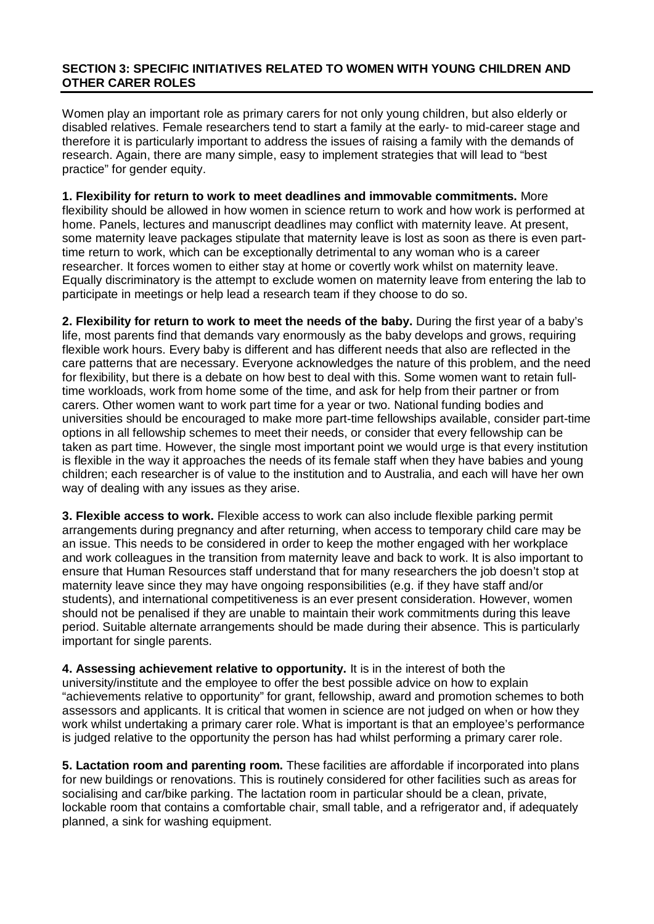### **SECTION 3: SPECIFIC INITIATIVES RELATED TO WOMEN WITH YOUNG CHILDREN AND OTHER CARER ROLES**

Women play an important role as primary carers for not only young children, but also elderly or disabled relatives. Female researchers tend to start a family at the early- to mid-career stage and therefore it is particularly important to address the issues of raising a family with the demands of research. Again, there are many simple, easy to implement strategies that will lead to "best practice" for gender equity.

**1. Flexibility for return to work to meet deadlines and immovable commitments.** More flexibility should be allowed in how women in science return to work and how work is performed at home. Panels, lectures and manuscript deadlines may conflict with maternity leave. At present, some maternity leave packages stipulate that maternity leave is lost as soon as there is even parttime return to work, which can be exceptionally detrimental to any woman who is a career researcher. It forces women to either stay at home or covertly work whilst on maternity leave. Equally discriminatory is the attempt to exclude women on maternity leave from entering the lab to participate in meetings or help lead a research team if they choose to do so.

**2. Flexibility for return to work to meet the needs of the baby.** During the first year of a baby's life, most parents find that demands vary enormously as the baby develops and grows, requiring flexible work hours. Every baby is different and has different needs that also are reflected in the care patterns that are necessary. Everyone acknowledges the nature of this problem, and the need for flexibility, but there is a debate on how best to deal with this. Some women want to retain fulltime workloads, work from home some of the time, and ask for help from their partner or from carers. Other women want to work part time for a year or two. National funding bodies and universities should be encouraged to make more part-time fellowships available, consider part-time options in all fellowship schemes to meet their needs, or consider that every fellowship can be taken as part time. However, the single most important point we would urge is that every institution is flexible in the way it approaches the needs of its female staff when they have babies and young children; each researcher is of value to the institution and to Australia, and each will have her own way of dealing with any issues as they arise.

**3. Flexible access to work.** Flexible access to work can also include flexible parking permit arrangements during pregnancy and after returning, when access to temporary child care may be an issue. This needs to be considered in order to keep the mother engaged with her workplace and work colleagues in the transition from maternity leave and back to work. It is also important to ensure that Human Resources staff understand that for many researchers the job doesn't stop at maternity leave since they may have ongoing responsibilities (e.g. if they have staff and/or students), and international competitiveness is an ever present consideration. However, women should not be penalised if they are unable to maintain their work commitments during this leave period. Suitable alternate arrangements should be made during their absence. This is particularly important for single parents.

**4. Assessing achievement relative to opportunity.** It is in the interest of both the university/institute and the employee to offer the best possible advice on how to explain "achievements relative to opportunity" for grant, fellowship, award and promotion schemes to both assessors and applicants. It is critical that women in science are not judged on when or how they work whilst undertaking a primary carer role. What is important is that an employee's performance is judged relative to the opportunity the person has had whilst performing a primary carer role.

**5. Lactation room and parenting room.** These facilities are affordable if incorporated into plans for new buildings or renovations. This is routinely considered for other facilities such as areas for socialising and car/bike parking. The lactation room in particular should be a clean, private, lockable room that contains a comfortable chair, small table, and a refrigerator and, if adequately planned, a sink for washing equipment.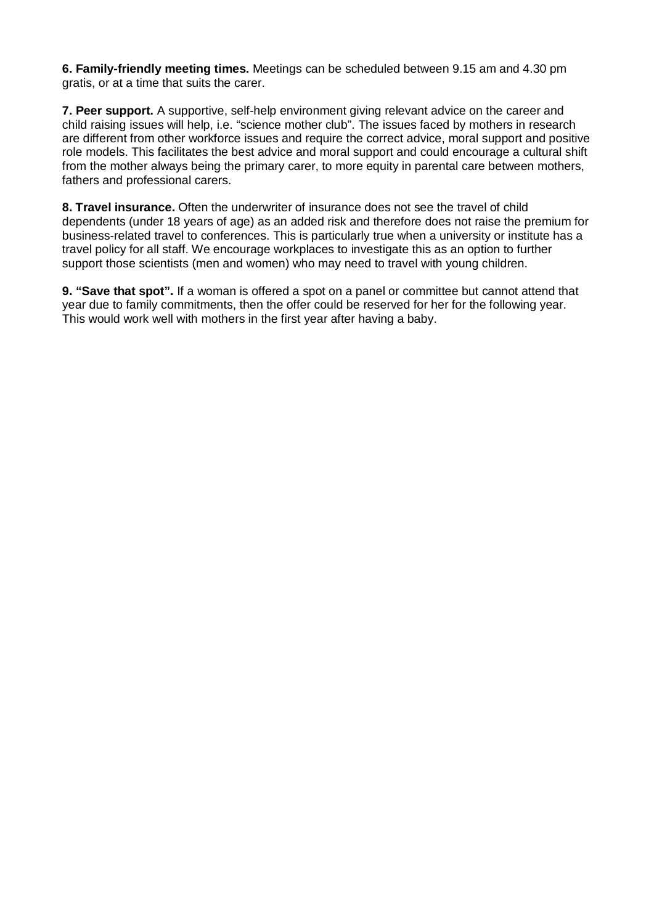**6. Family-friendly meeting times.** Meetings can be scheduled between 9.15 am and 4.30 pm gratis, or at a time that suits the carer.

**7. Peer support.** A supportive, self-help environment giving relevant advice on the career and child raising issues will help, i.e. "science mother club". The issues faced by mothers in research are different from other workforce issues and require the correct advice, moral support and positive role models. This facilitates the best advice and moral support and could encourage a cultural shift from the mother always being the primary carer, to more equity in parental care between mothers, fathers and professional carers.

**8. Travel insurance.** Often the underwriter of insurance does not see the travel of child dependents (under 18 years of age) as an added risk and therefore does not raise the premium for business-related travel to conferences. This is particularly true when a university or institute has a travel policy for all staff. We encourage workplaces to investigate this as an option to further support those scientists (men and women) who may need to travel with young children.

**9. "Save that spot".** If a woman is offered a spot on a panel or committee but cannot attend that year due to family commitments, then the offer could be reserved for her for the following year. This would work well with mothers in the first year after having a baby.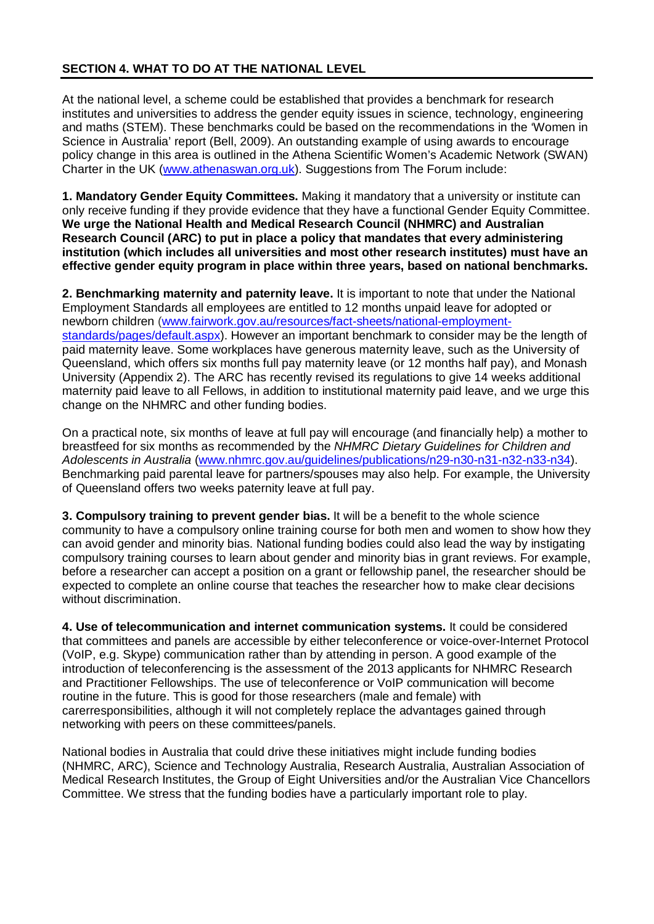# **SECTION 4. WHAT TO DO AT THE NATIONAL LEVEL**

At the national level, a scheme could be established that provides a benchmark for research institutes and universities to address the gender equity issues in science, technology, engineering and maths (STEM). These benchmarks could be based on the recommendations in the 'Women in Science in Australia' report (Bell, 2009). An outstanding example of using awards to encourage policy change in this area is outlined in the Athena Scientific Women's Academic Network (SWAN) Charter in the UK [\(www.athenaswan.org.uk\)](http://www.athenaswan.org.uk/). Suggestions from The Forum include:

**1. Mandatory Gender Equity Committees.** Making it mandatory that a university or institute can only receive funding if they provide evidence that they have a functional Gender Equity Committee. **We urge the National Health and Medical Research Council (NHMRC) and Australian Research Council (ARC) to put in place a policy that mandates that every administering institution (which includes all universities and most other research institutes) must have an effective gender equity program in place within three years, based on national benchmarks.**

**2. Benchmarking maternity and paternity leave.** It is important to note that under the National Employment Standards all employees are entitled to 12 months unpaid leave for adopted or newborn children [\(www.fairwork.gov.au/resources/fact-sheets/national-employment](http://www.fairwork.gov.au/resources/fact-sheets/national-employment-standards/pages/default.aspx)[standards/pages/default.aspx\)](http://www.fairwork.gov.au/resources/fact-sheets/national-employment-standards/pages/default.aspx). However an important benchmark to consider may be the length of paid maternity leave. Some workplaces have generous maternity leave, such as the University of Queensland, which offers six months full pay maternity leave (or 12 months half pay), and Monash University (Appendix 2). The ARC has recently revised its regulations to give 14 weeks additional maternity paid leave to all Fellows, in addition to institutional maternity paid leave, and we urge this change on the NHMRC and other funding bodies.

On a practical note, six months of leave at full pay will encourage (and financially help) a mother to breastfeed for six months as recommended by the *NHMRC Dietary Guidelines for Children and Adolescents in Australia* [\(www.nhmrc.gov.au/guidelines/publications/n29-n30-n31-n32-n33-n34\)](http://www.nhmrc.gov.au/guidelines/publications/n29-n30-n31-n32-n33-n34). Benchmarking paid parental leave for partners/spouses may also help. For example, the University of Queensland offers two weeks paternity leave at full pay.

**3. Compulsory training to prevent gender bias.** It will be a benefit to the whole science community to have a compulsory online training course for both men and women to show how they can avoid gender and minority bias. National funding bodies could also lead the way by instigating compulsory training courses to learn about gender and minority bias in grant reviews. For example, before a researcher can accept a position on a grant or fellowship panel, the researcher should be expected to complete an online course that teaches the researcher how to make clear decisions without discrimination.

**4. Use of telecommunication and internet communication systems.** It could be considered that committees and panels are accessible by either teleconference or voice-over-Internet Protocol (VoIP, e.g. Skype) communication rather than by attending in person. A good example of the introduction of teleconferencing is the assessment of the 2013 applicants for NHMRC Research and Practitioner Fellowships. The use of teleconference or VoIP communication will become routine in the future. This is good for those researchers (male and female) with carerresponsibilities, although it will not completely replace the advantages gained through networking with peers on these committees/panels.

National bodies in Australia that could drive these initiatives might include funding bodies (NHMRC, ARC), Science and Technology Australia, Research Australia, Australian Association of Medical Research Institutes, the Group of Eight Universities and/or the Australian Vice Chancellors Committee. We stress that the funding bodies have a particularly important role to play.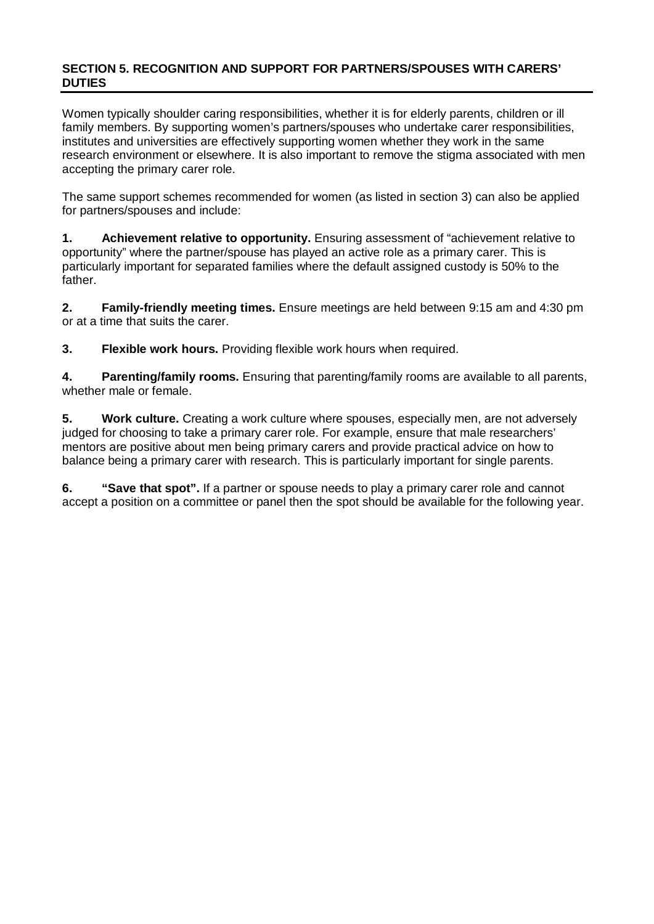### **SECTION 5. RECOGNITION AND SUPPORT FOR PARTNERS/SPOUSES WITH CARERS' DUTIES**

Women typically shoulder caring responsibilities, whether it is for elderly parents, children or ill family members. By supporting women's partners/spouses who undertake carer responsibilities, institutes and universities are effectively supporting women whether they work in the same research environment or elsewhere. It is also important to remove the stigma associated with men accepting the primary carer role.

The same support schemes recommended for women (as listed in section 3) can also be applied for partners/spouses and include:

**1. Achievement relative to opportunity.** Ensuring assessment of "achievement relative to opportunity" where the partner/spouse has played an active role as a primary carer. This is particularly important for separated families where the default assigned custody is 50% to the father.

**2. Family-friendly meeting times.** Ensure meetings are held between 9:15 am and 4:30 pm or at a time that suits the carer.

**3. Flexible work hours.** Providing flexible work hours when required.

**4. Parenting/family rooms.** Ensuring that parenting/family rooms are available to all parents, whether male or female.

**5. Work culture.** Creating a work culture where spouses, especially men, are not adversely judged for choosing to take a primary carer role. For example, ensure that male researchers' mentors are positive about men being primary carers and provide practical advice on how to balance being a primary carer with research. This is particularly important for single parents.

**6. "Save that spot".** If a partner or spouse needs to play a primary carer role and cannot accept a position on a committee or panel then the spot should be available for the following year.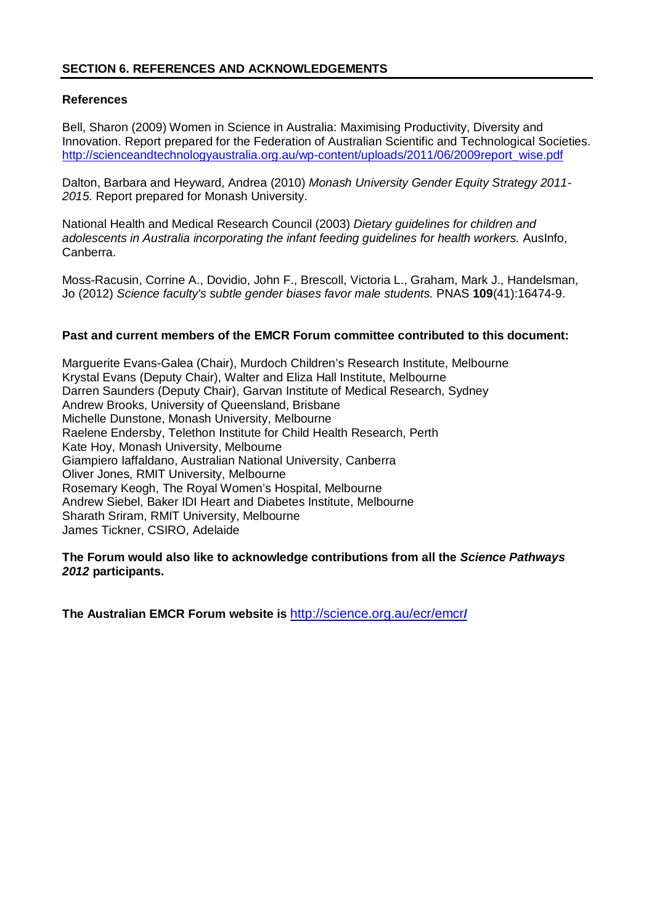# **SECTION 6. REFERENCES AND ACKNOWLEDGEMENTS**

### **References**

Bell, Sharon (2009) Women in Science in Australia: Maximising Productivity, Diversity and Innovation. Report prepared for the Federation of Australian Scientific and Technological Societies. [http://scienceandtechnologyaustralia.org.au/wp-content/uploads/2011/06/2009report\\_wise.pdf](http://scienceandtechnologyaustralia.org.au/wp-content/uploads/2011/06/2009report_wise.pdf)

Dalton, Barbara and Heyward, Andrea (2010) *Monash University Gender Equity Strategy 2011- 2015.* Report prepared for Monash University.

National Health and Medical Research Council (2003) *Dietary guidelines for children and adolescents in Australia incorporating the infant feeding guidelines for health workers.* AusInfo, Canberra.

Moss-Racusin, Corrine A., Dovidio, John F., Brescoll, Victoria L., Graham, Mark J., Handelsman, Jo (2012) *Science faculty's subtle gender biases favor male students.* PNAS **109**(41):16474-9.

#### **Past and current members of the EMCR Forum committee contributed to this document:**

Marguerite Evans-Galea (Chair), Murdoch Children's Research Institute, Melbourne Krystal Evans (Deputy Chair), Walter and Eliza Hall Institute, Melbourne Darren Saunders (Deputy Chair), Garvan Institute of Medical Research, Sydney Andrew Brooks, University of Queensland, Brisbane Michelle Dunstone, Monash University, Melbourne Raelene Endersby, Telethon Institute for Child Health Research, Perth Kate Hoy, Monash University, Melbourne Giampiero Iaffaldano, Australian National University, Canberra Oliver Jones, RMIT University, Melbourne Rosemary Keogh, The Royal Women's Hospital, Melbourne Andrew Siebel, Baker IDI Heart and Diabetes Institute, Melbourne Sharath Sriram, RMIT University, Melbourne James Tickner, CSIRO, Adelaide

#### **The Forum would also like to acknowledge contributions from all the** *Science Pathways 2012* **participants.**

**The Australian EMCR Forum website is** [http://science.org.au/ecr/emcr](http://science.org.au/ecr/emcr/)**/**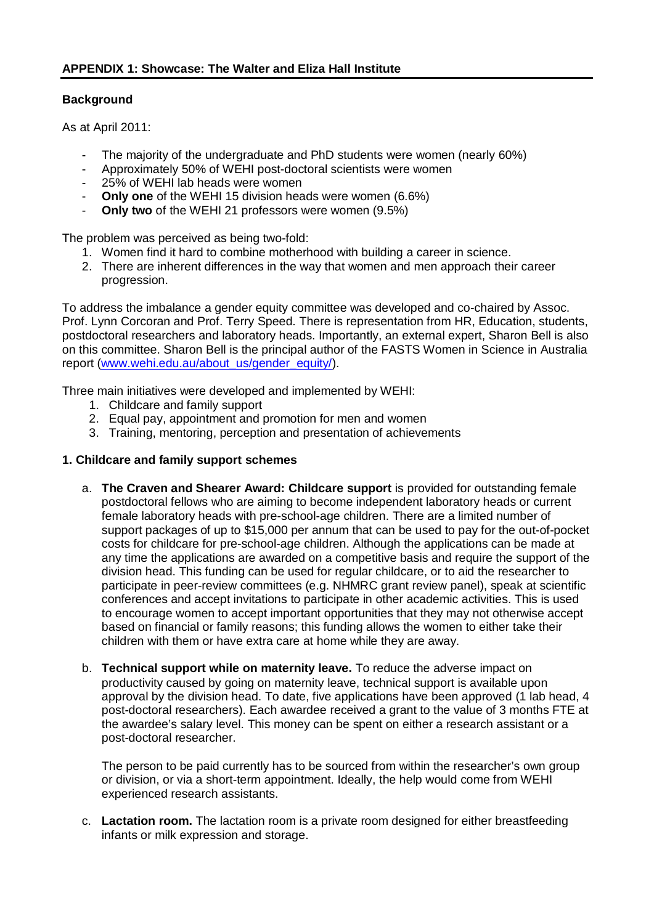# **Background**

As at April 2011:

- The majority of the undergraduate and PhD students were women (nearly 60%)
- Approximately 50% of WEHI post-doctoral scientists were women
- 25% of WEHI lab heads were women
- **Only one** of the WEHI 15 division heads were women (6.6%)
- **Only two** of the WEHI 21 professors were women (9.5%)

The problem was perceived as being two-fold:

- 1. Women find it hard to combine motherhood with building a career in science.
- 2. There are inherent differences in the way that women and men approach their career progression.

To address the imbalance a gender equity committee was developed and co-chaired by Assoc. Prof. Lynn Corcoran and Prof. Terry Speed. There is representation from HR, Education, students, postdoctoral researchers and laboratory heads. Importantly, an external expert, Sharon Bell is also on this committee. Sharon Bell is the principal author of the FASTS Women in Science in Australia report [\(www.wehi.edu.au/about\\_us/gender\\_equity/\)](http://www.wehi.edu.au/about_us/gender_equity/).

Three main initiatives were developed and implemented by WEHI:

- 1. Childcare and family support
- 2. Equal pay, appointment and promotion for men and women
- 3. Training, mentoring, perception and presentation of achievements

# **1. Childcare and family support schemes**

- a. **The Craven and Shearer Award: Childcare support** is provided for outstanding female postdoctoral fellows who are aiming to become independent laboratory heads or current female laboratory heads with pre-school-age children. There are a limited number of support packages of up to \$15,000 per annum that can be used to pay for the out-of-pocket costs for childcare for pre-school-age children. Although the applications can be made at any time the applications are awarded on a competitive basis and require the support of the division head. This funding can be used for regular childcare, or to aid the researcher to participate in peer-review committees (e.g. NHMRC grant review panel), speak at scientific conferences and accept invitations to participate in other academic activities. This is used to encourage women to accept important opportunities that they may not otherwise accept based on financial or family reasons; this funding allows the women to either take their children with them or have extra care at home while they are away.
- b. **Technical support while on maternity leave.** To reduce the adverse impact on productivity caused by going on maternity leave, technical support is available upon approval by the division head. To date, five applications have been approved (1 lab head, 4 post-doctoral researchers). Each awardee received a grant to the value of 3 months FTE at the awardee's salary level. This money can be spent on either a research assistant or a post-doctoral researcher.

The person to be paid currently has to be sourced from within the researcher's own group or division, or via a short-term appointment. Ideally, the help would come from WEHI experienced research assistants.

c. **Lactation room.** The lactation room is a private room designed for either breastfeeding infants or milk expression and storage.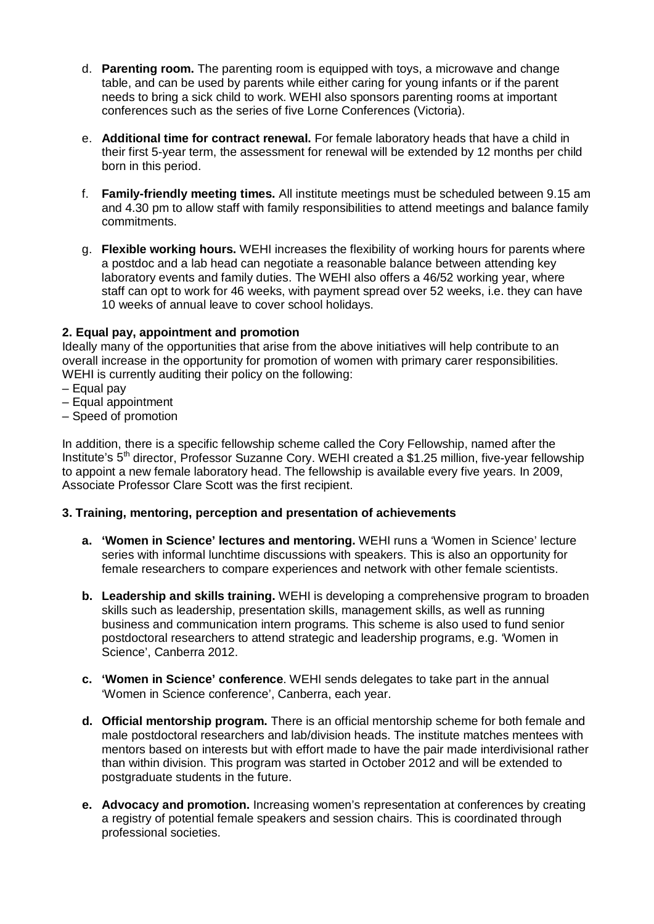- d. **Parenting room.** The parenting room is equipped with toys, a microwave and change table, and can be used by parents while either caring for young infants or if the parent needs to bring a sick child to work. WEHI also sponsors parenting rooms at important conferences such as the series of five Lorne Conferences (Victoria).
- e. **Additional time for contract renewal.** For female laboratory heads that have a child in their first 5-year term, the assessment for renewal will be extended by 12 months per child born in this period.
- f. **Family-friendly meeting times.** All institute meetings must be scheduled between 9.15 am and 4.30 pm to allow staff with family responsibilities to attend meetings and balance family commitments.
- g. **Flexible working hours.** WEHI increases the flexibility of working hours for parents where a postdoc and a lab head can negotiate a reasonable balance between attending key laboratory events and family duties. The WEHI also offers a 46/52 working year, where staff can opt to work for 46 weeks, with payment spread over 52 weeks, i.e. they can have 10 weeks of annual leave to cover school holidays.

# **2. Equal pay, appointment and promotion**

Ideally many of the opportunities that arise from the above initiatives will help contribute to an overall increase in the opportunity for promotion of women with primary carer responsibilities. WEHI is currently auditing their policy on the following:

- Equal pay
- Equal appointment
- Speed of promotion

In addition, there is a specific fellowship scheme called the Cory Fellowship, named after the Institute's 5th director, Professor Suzanne Cory. WEHI created a \$1.25 million, five-year fellowship to appoint a new female laboratory head. The fellowship is available every five years. In 2009, Associate Professor Clare Scott was the first recipient.

### **3. Training, mentoring, perception and presentation of achievements**

- **a. 'Women in Science' lectures and mentoring.** WEHI runs a 'Women in Science' lecture series with informal lunchtime discussions with speakers. This is also an opportunity for female researchers to compare experiences and network with other female scientists.
- **b. Leadership and skills training.** WEHI is developing a comprehensive program to broaden skills such as leadership, presentation skills, management skills, as well as running business and communication intern programs. This scheme is also used to fund senior postdoctoral researchers to attend strategic and leadership programs, e.g. 'Women in Science', Canberra 2012.
- **c. 'Women in Science' conference**. WEHI sends delegates to take part in the annual 'Women in Science conference', Canberra, each year.
- **d. Official mentorship program.** There is an official mentorship scheme for both female and male postdoctoral researchers and lab/division heads. The institute matches mentees with mentors based on interests but with effort made to have the pair made interdivisional rather than within division. This program was started in October 2012 and will be extended to postgraduate students in the future.
- **e. Advocacy and promotion.** Increasing women's representation at conferences by creating a registry of potential female speakers and session chairs. This is coordinated through professional societies.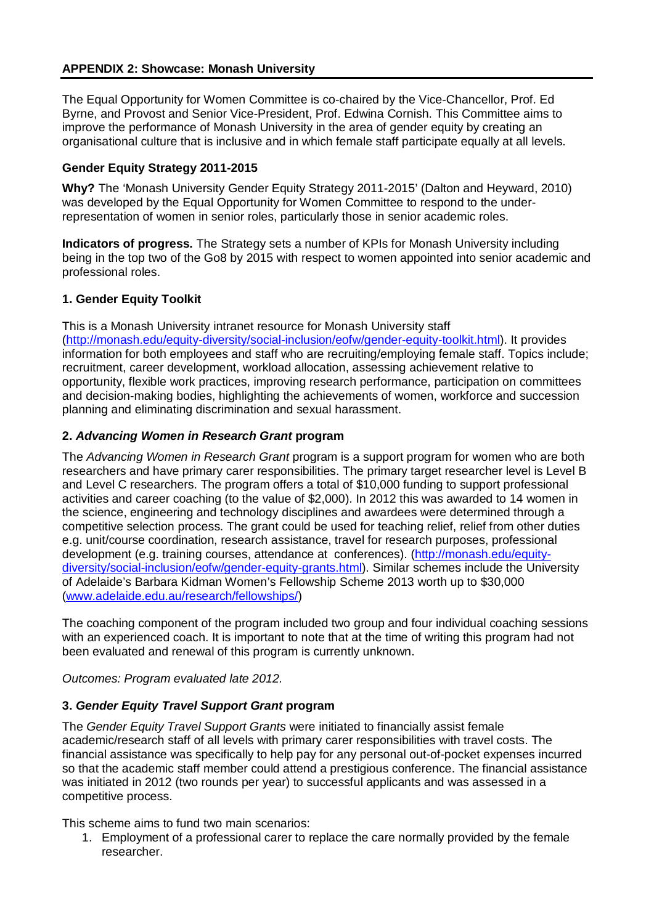# **APPENDIX 2: Showcase: Monash University**

The Equal Opportunity for Women Committee is co-chaired by the Vice-Chancellor, Prof. Ed Byrne, and Provost and Senior Vice-President, Prof. Edwina Cornish. This Committee aims to improve the performance of Monash University in the area of gender equity by creating an organisational culture that is inclusive and in which female staff participate equally at all levels.

### **Gender Equity Strategy 2011-2015**

**Why?** The 'Monash University Gender Equity Strategy 2011-2015' (Dalton and Heyward, 2010) was developed by the Equal Opportunity for Women Committee to respond to the underrepresentation of women in senior roles, particularly those in senior academic roles.

**Indicators of progress.** The Strategy sets a number of KPIs for Monash University including being in the top two of the Go8 by 2015 with respect to women appointed into senior academic and professional roles.

# **1. Gender Equity Toolkit**

This is a Monash University intranet resource for Monash University staff [\(http://monash.edu/equity-diversity/social-inclusion/eofw/gender-equity-toolkit.html\)](http://monash.edu/equity-diversity/social-inclusion/eofw/gender-equity-toolkit.html). It provides information for both employees and staff who are recruiting/employing female staff. Topics include; recruitment, career development, workload allocation, assessing achievement relative to opportunity, flexible work practices, improving research performance, participation on committees and decision-making bodies, highlighting the achievements of women, workforce and succession planning and eliminating discrimination and sexual harassment.

# **2.** *Advancing Women in Research Grant* **program**

The *Advancing Women in Research Grant* program is a support program for women who are both researchers and have primary carer responsibilities. The primary target researcher level is Level B and Level C researchers. The program offers a total of \$10,000 funding to support professional activities and career coaching (to the value of \$2,000). In 2012 this was awarded to 14 women in the science, engineering and technology disciplines and awardees were determined through a competitive selection process. The grant could be used for teaching relief, relief from other duties e.g. unit/course coordination, research assistance, travel for research purposes, professional development (e.g. training courses, attendance at conferences). [\(http://monash.edu/equity](http://monash.edu/equity-diversity/social-inclusion/eofw/gender-equity-grants.html)[diversity/social-inclusion/eofw/gender-equity-grants.html\)](http://monash.edu/equity-diversity/social-inclusion/eofw/gender-equity-grants.html). Similar schemes include the University of Adelaide's Barbara Kidman Women's Fellowship Scheme 2013 worth up to \$30,000 [\(www.adelaide.edu.au/research/fellowships/\)](http://www.adelaide.edu.au/research/fellowships/)

The coaching component of the program included two group and four individual coaching sessions with an experienced coach. It is important to note that at the time of writing this program had not been evaluated and renewal of this program is currently unknown.

*Outcomes: Program evaluated late 2012.*

# **3.** *Gender Equity Travel Support Grant* **program**

The *Gender Equity Travel Support Grants* were initiated to financially assist female academic/research staff of all levels with primary carer responsibilities with travel costs. The financial assistance was specifically to help pay for any personal out-of-pocket expenses incurred so that the academic staff member could attend a prestigious conference. The financial assistance was initiated in 2012 (two rounds per year) to successful applicants and was assessed in a competitive process.

This scheme aims to fund two main scenarios:

1. Employment of a professional carer to replace the care normally provided by the female researcher.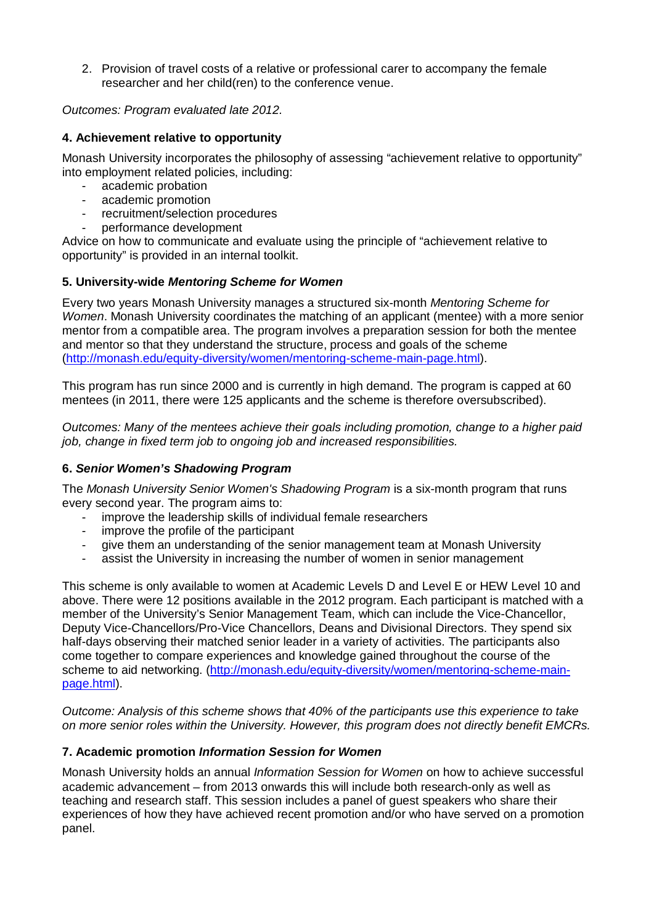2. Provision of travel costs of a relative or professional carer to accompany the female researcher and her child(ren) to the conference venue.

*Outcomes: Program evaluated late 2012.*

# **4. Achievement relative to opportunity**

Monash University incorporates the philosophy of assessing "achievement relative to opportunity" into employment related policies, including:

- academic probation
- academic promotion
- recruitment/selection procedures
- performance development

Advice on how to communicate and evaluate using the principle of "achievement relative to opportunity" is provided in an internal toolkit.

# **5. University-wide** *Mentoring Scheme for Women*

Every two years Monash University manages a structured six-month *Mentoring Scheme for Women*. Monash University coordinates the matching of an applicant (mentee) with a more senior mentor from a compatible area. The program involves a preparation session for both the mentee and mentor so that they understand the structure, process and goals of the scheme [\(http://monash.edu/equity-diversity/women/mentoring-scheme-main-page.html\)](http://monash.edu/equity-diversity/women/mentoring-scheme-main-page.html).

This program has run since 2000 and is currently in high demand. The program is capped at 60 mentees (in 2011, there were 125 applicants and the scheme is therefore oversubscribed).

*Outcomes: Many of the mentees achieve their goals including promotion, change to a higher paid job, change in fixed term job to ongoing job and increased responsibilities.*

# **6.** *Senior Women's Shadowing Program*

The *Monash University Senior Women's Shadowing Program* is a six-month program that runs every second year. The program aims to:

- improve the leadership skills of individual female researchers
- improve the profile of the participant
- give them an understanding of the senior management team at Monash University
- assist the University in increasing the number of women in senior management

This scheme is only available to women at Academic Levels D and Level E or HEW Level 10 and above. There were 12 positions available in the 2012 program. Each participant is matched with a member of the University's Senior Management Team, which can include the Vice-Chancellor, Deputy Vice-Chancellors/Pro-Vice Chancellors, Deans and Divisional Directors. They spend six half-days observing their matched senior leader in a variety of activities. The participants also come together to compare experiences and knowledge gained throughout the course of the scheme to aid networking. [\(http://monash.edu/equity-diversity/women/mentoring-scheme-main](http://monash.edu/equity-diversity/women/mentoring-scheme-main-page.html)[page.html\)](http://monash.edu/equity-diversity/women/mentoring-scheme-main-page.html).

*Outcome: Analysis of this scheme shows that 40% of the participants use this experience to take on more senior roles within the University. However, this program does not directly benefit EMCRs.*

### **7. Academic promotion** *Information Session for Women*

Monash University holds an annual *Information Session for Women* on how to achieve successful academic advancement – from 2013 onwards this will include both research-only as well as teaching and research staff. This session includes a panel of guest speakers who share their experiences of how they have achieved recent promotion and/or who have served on a promotion panel.